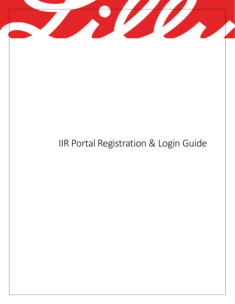

# IIR Portal Registration & Login Guide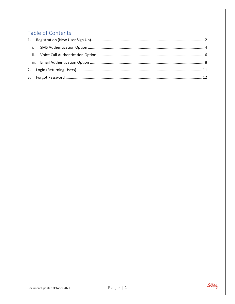## Table of Contents

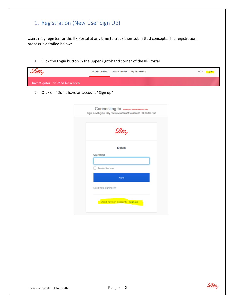## <span id="page-2-0"></span>1. Registration (New User Sign Up)

Users may register for the IIR Portal at any time to track their submitted concepts. The registration process is detailed below:

1. Click the Login button in the upper right-hand corner of the IIR Portal

| Lilly                                  | Submit a Concept | Areas of Interest My Submissions |  | FAQ's <mark>Log in</mark> |
|----------------------------------------|------------------|----------------------------------|--|---------------------------|
| <b>Investigator Initiated Research</b> |                  |                                  |  |                           |

2. Click on "Don't have an account? Sign up"

| Connecting to <b>Investor Initiated Research (IR)</b><br>Sign-in with your Lilly Preview account to access IIR portal-Poc |
|---------------------------------------------------------------------------------------------------------------------------|
| Lilly                                                                                                                     |
| Sign In                                                                                                                   |
| Username                                                                                                                  |
|                                                                                                                           |
| Remember me                                                                                                               |
| Next                                                                                                                      |
| Need help signing in?                                                                                                     |
| Don't have an account? Sign up                                                                                            |

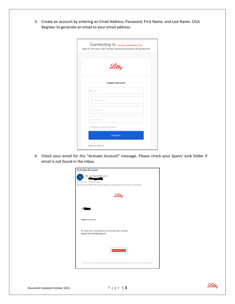3. Create an account by entering an Email Address, Password, First Name, and Last Name. Click Register to generate an email to your email address.

| Connecting to <b>Investigate Initiated Research (IR)</b><br>Sign-in with your Lilly Preview account to access IIR portal-Poc |
|------------------------------------------------------------------------------------------------------------------------------|
| Lilly                                                                                                                        |
| <b>Create Account</b>                                                                                                        |
| Email*                                                                                                                       |
| <sup>4</sup> Password *                                                                                                      |
| First name*                                                                                                                  |
| Last name*                                                                                                                   |
| * indicates required field                                                                                                   |
| <b>Register</b>                                                                                                              |
| Back to Sign In                                                                                                              |

4. Check your email for the "Activate Account" message. Please check your Spam/ Junk folder if email is not found in the Inbox.

| <b>Activate Account</b>                                                                                                                                                                             |
|-----------------------------------------------------------------------------------------------------------------------------------------------------------------------------------------------------|
| Lilly <noreply@lilly.com><br/>To<br/>Retention Policy Inbox (60 days)<br/>(i) If there are problems with how this message is displayed, click here to view it in a web browser.</noreply@lilly.com> |
| Lilly                                                                                                                                                                                               |
| Hi                                                                                                                                                                                                  |
| Welcome to Lilly!                                                                                                                                                                                   |
| To verify your email address and activate your account,<br>please click the following link:                                                                                                         |
| <b>Activate Account</b>                                                                                                                                                                             |
| This is an automatically generated message. Replies are not monitored or answered.                                                                                                                  |

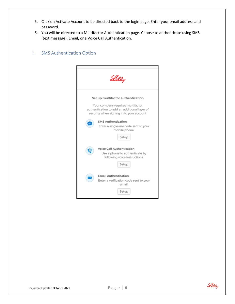- 5. Click on Activate Account to be directed back to the login page. Enter your email address and password.
- 6. You will be directed to a Multifactor Authentication page. Choose to authenticate using SMS (text message), Email, or a Voice Call Authentication.

#### <span id="page-4-0"></span>i. SMS Authentication Option

|                                                                                                                                                                    | Lilly                                                                                                 |  |  |  |  |
|--------------------------------------------------------------------------------------------------------------------------------------------------------------------|-------------------------------------------------------------------------------------------------------|--|--|--|--|
| Set up multifactor authentication<br>Your company requires multifactor<br>authentication to add an additional layer of<br>security when signing in to your account |                                                                                                       |  |  |  |  |
|                                                                                                                                                                    | <b>SMS Authentication</b><br>Enter a single-use code sent to your<br>mobile phone.<br>Setup           |  |  |  |  |
| (a)                                                                                                                                                                | Voice Call Authentication<br>Use a phone to authenticate by<br>following voice instructions.<br>Setup |  |  |  |  |
|                                                                                                                                                                    | <b>Email Authentication</b><br>Enter a verification code sent to your<br>email.<br>Setup              |  |  |  |  |

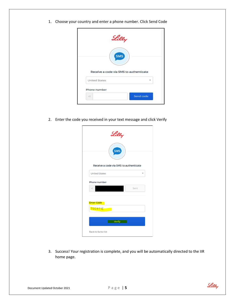1. Choose your country and enter a phone number. Click Send Code

| Lilly                                                          |  |
|----------------------------------------------------------------|--|
| <b>SMS</b>                                                     |  |
|                                                                |  |
| Receive a code via SMS to authenticate<br><b>United States</b> |  |
| Phone number                                                   |  |

2. Enter the code you received in your text message and click Verify

| Lilly<br>SMS                           |      |  |
|----------------------------------------|------|--|
| Receive a code via SMS to authenticate |      |  |
| <b>United States</b>                   | ÷    |  |
| Phone number                           |      |  |
| ٠ī                                     | Sent |  |
| <b>Enter Code</b>                      |      |  |
| 732873                                 |      |  |
| Verify                                 |      |  |
| Back to factor list                    |      |  |

3. Success! Your registration is complete, and you will be automatically directed to the IIR home page.

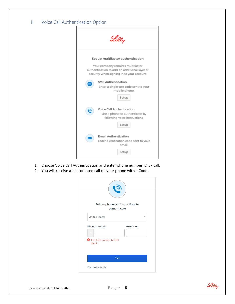#### <span id="page-6-0"></span>ii. Voice Call Authentication Option



- 1. Choose Voice Call Authentication and enter phone number; Click call.
- 2. You will receive an automated call on your phone with a Code.

| Follow phone call instructions to<br>authenticate |                  |
|---------------------------------------------------|------------------|
| <b>United States</b>                              |                  |
| Phone number                                      | <b>Extension</b> |
| $+1$                                              |                  |
| <b>O</b> This field cannot be left<br>blank       |                  |
| Call                                              |                  |
| <b>Back to factor list</b>                        |                  |

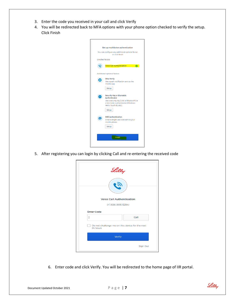- 3. Enter the code you received in your call and click Verify
- 4. You will be redirected back to MFA options with your phone option checked to verify the setup. Click Finish

|                         | Set up multifactor authentication                                                                                                                                      |
|-------------------------|------------------------------------------------------------------------------------------------------------------------------------------------------------------------|
|                         | You can configure any additional optional factor<br>or click finish                                                                                                    |
| <b>Enrolled factors</b> |                                                                                                                                                                        |
|                         | <b>Voice Call Authentication</b><br>$\bullet$                                                                                                                          |
|                         | Additional optional factors                                                                                                                                            |
|                         | <b>Okta Verify</b><br>Use a push notification sent to the<br>mobile app.<br>Setup                                                                                      |
|                         | <b>Security Key or Biometric</b><br>Authenticator<br>Use a security key (USB or bluetooth) or<br>a biometric authenticator (Windows<br>Hello, Touch ID, etc.)<br>Setup |
| SMS                     | <b>SMS Authentication</b><br>Enter a single-use code sent to your<br>mobile phone.<br>Setup                                                                            |
|                         | Finish                                                                                                                                                                 |

5. After registering you can login by clicking Call and re-entering the received code

| Lilly                                                       |
|-------------------------------------------------------------|
| <b>Voice Call Authentication</b><br>(+1 XXX-XXX-5294)       |
| <b>Enter Code</b>                                           |
| Call                                                        |
| Do not challenge me on this device for the next<br>24 hours |
| Verify                                                      |
| <b>Sign Out</b>                                             |

6. Enter code and click Verify. You will be redirected to the home page of IIR portal.

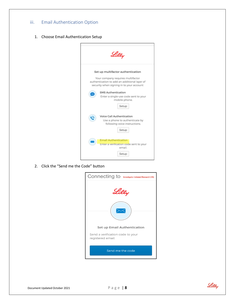#### <span id="page-8-0"></span>iii. Email Authentication Option

1. Choose Email Authentication Setup



2. Click the "Send me the Code" button



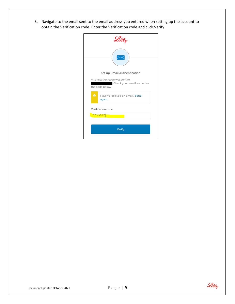3. Navigate to the email sent to the email address you entered when setting up the account to obtain the Verification code. Enter the Verification code and click Verify

| Lilly                                                                              |  |
|------------------------------------------------------------------------------------|--|
| Set up Email Authentication                                                        |  |
| A verification code was sent to<br>. Check your email and enter<br>the code below. |  |
| $\mathbf{A}$<br>Haven't received an email? Send<br>again                           |  |
| Verification code                                                                  |  |
| 374645                                                                             |  |
| Verify                                                                             |  |

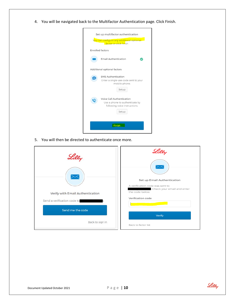4. You will be navigated back to the Multifactor Authentication page. Click Finish.



5. You will then be directed to authenticate once more.

|                                  | <u>Lilly</u>                                                                                   |
|----------------------------------|------------------------------------------------------------------------------------------------|
|                                  |                                                                                                |
|                                  | Set up Email Authentication<br>A verification code was sent to<br>. Check your email and enter |
| Verify with Email Authentication | the code below.                                                                                |
| Send a verification code to      | Verification code                                                                              |
| Send me the code                 | Verify                                                                                         |
| Back to sign in                  | Back to factor list                                                                            |

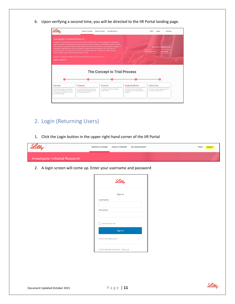6. Upon verifying a second time, you will be directed to the IIR Portal landing page.

| Submit a Concept                                                                                    | My Submissions                      |                                                                                                                                                                                                                                                                                                                                                                                                                                                                                                                                                                                                                                                                                     | Welcome.<br>FAO's<br>Logout                                                  |
|-----------------------------------------------------------------------------------------------------|-------------------------------------|-------------------------------------------------------------------------------------------------------------------------------------------------------------------------------------------------------------------------------------------------------------------------------------------------------------------------------------------------------------------------------------------------------------------------------------------------------------------------------------------------------------------------------------------------------------------------------------------------------------------------------------------------------------------------------------|------------------------------------------------------------------------------|
| <b>Investigator Initiated Research</b><br>scientific staff members from relevant therapeutic areas. |                                     |                                                                                                                                                                                                                                                                                                                                                                                                                                                                                                                                                                                                                                                                                     | There are no submissions yet.<br><b>My Submissions</b><br><b>Delegations</b> |
|                                                                                                     |                                     |                                                                                                                                                                                                                                                                                                                                                                                                                                                                                                                                                                                                                                                                                     |                                                                              |
|                                                                                                     | <b>The Concept to Trial Process</b> |                                                                                                                                                                                                                                                                                                                                                                                                                                                                                                                                                                                                                                                                                     |                                                                              |
| Proposal                                                                                            | Protocol                            | <b>Study Readiness</b>                                                                                                                                                                                                                                                                                                                                                                                                                                                                                                                                                                                                                                                              | <b>Active Trial</b>                                                          |
|                                                                                                     |                                     | Areas of Interest<br>In addition to sponsoring its own research and research collaborations, Lilly has programs for considering<br>external requests for Lilly provision of study drug and/or financial support for Investigator Initiated research<br>that is initiated, designed and sponsored by external researchers. Lilly considers such requests for support of<br>Investigator Initiated Research projects based on scientific ment and strategic fit with Lilly's areas of<br>research interest. These reviews are carried out by global committees comprised of Lilly medical and<br>This site is intended for Health Care and Research Professionals over the age of 18. |                                                                              |

- <span id="page-11-0"></span>2. Login (Returning Users)
- 1. Click the Login button in the upper right-hand corner of the IIR Portal



2. A login screen will come up. Enter your username and password

| Lilly                          |  |
|--------------------------------|--|
| Sign In                        |  |
| Username                       |  |
|                                |  |
| Password                       |  |
|                                |  |
| Remember me                    |  |
|                                |  |
| Sign In                        |  |
| Need help signing in?          |  |
| Don't have an account? Sign up |  |

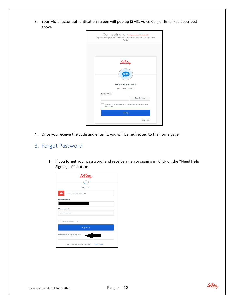3. Your Multi factor authentication screen will pop up (SMS, Voice Call, or Email) as described above

| Connecting to Investigator Initiated Research (IR)<br>Sign-in with your Eli Lilly and Company account to access IIR<br>Portal |
|-------------------------------------------------------------------------------------------------------------------------------|
|                                                                                                                               |
|                                                                                                                               |
|                                                                                                                               |
|                                                                                                                               |
|                                                                                                                               |
| Lilly                                                                                                                         |
|                                                                                                                               |
| <b>SMS</b>                                                                                                                    |
|                                                                                                                               |
|                                                                                                                               |
| <b>SMS Authentication</b>                                                                                                     |
| (+1 XXX-XXX-8411)                                                                                                             |
| <b>Enter Code</b>                                                                                                             |
| Send code                                                                                                                     |
| Do not challenge me on this device for the next                                                                               |
| 24 hours                                                                                                                      |
| Verify                                                                                                                        |
|                                                                                                                               |
| Sign Out                                                                                                                      |

4. Once you receive the code and enter it, you will be redirected to the home page

### <span id="page-12-0"></span>3. Forgot Password

1. If you forget your password, and receive an error signing in. Click on the "Need Help Signing In?" button